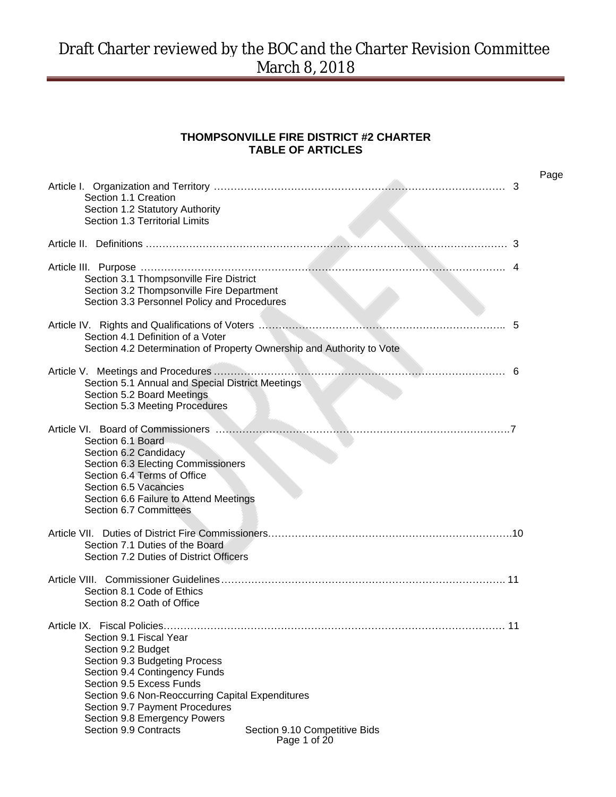#### **THOMPSONVILLE FIRE DISTRICT #2 CHARTER TABLE OF ARTICLES**

| 3<br>Section 1.1 Creation<br>Section 1.2 Statutory Authority<br>Section 1.3 Territorial Limits                                                                                                                                                                                                                                              | Page |
|---------------------------------------------------------------------------------------------------------------------------------------------------------------------------------------------------------------------------------------------------------------------------------------------------------------------------------------------|------|
|                                                                                                                                                                                                                                                                                                                                             |      |
| Section 3.1 Thompsonville Fire District<br>Section 3.2 Thompsonville Fire Department<br>Section 3.3 Personnel Policy and Procedures                                                                                                                                                                                                         |      |
| 5<br>Section 4.1 Definition of a Voter<br>Section 4.2 Determination of Property Ownership and Authority to Vote                                                                                                                                                                                                                             |      |
| -6<br>Section 5.1 Annual and Special District Meetings<br>Section 5.2 Board Meetings<br>Section 5.3 Meeting Procedures                                                                                                                                                                                                                      |      |
| Section 6.1 Board<br>Section 6.2 Candidacy<br>Section 6.3 Electing Commissioners<br>Section 6.4 Terms of Office<br>Section 6.5 Vacancies<br>Section 6.6 Failure to Attend Meetings<br>Section 6.7 Committees                                                                                                                                |      |
| Section 7.1 Duties of the Board<br>Section 7.2 Duties of District Officers                                                                                                                                                                                                                                                                  |      |
| Section 8.1 Code of Ethics<br>Section 8.2 Oath of Office                                                                                                                                                                                                                                                                                    |      |
| Section 9.1 Fiscal Year<br>Section 9.2 Budget<br>Section 9.3 Budgeting Process<br>Section 9.4 Contingency Funds<br>Section 9.5 Excess Funds<br>Section 9.6 Non-Reoccurring Capital Expenditures<br>Section 9.7 Payment Procedures<br>Section 9.8 Emergency Powers<br>Section 9.9 Contracts<br>Section 9.10 Competitive Bids<br>Page 1 of 20 |      |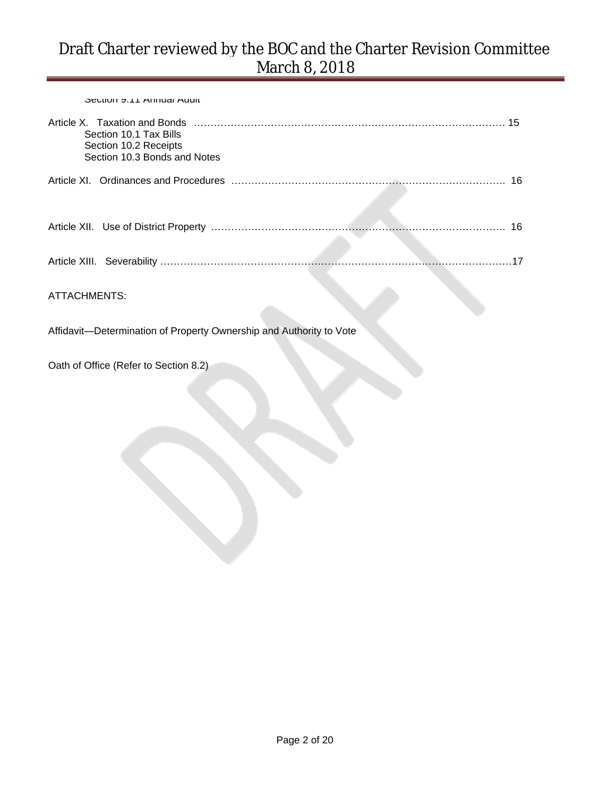Section 9.11 Annual Audit

| Section 10.1 Tax Bills<br>Section 10.2 Receipts<br>Section 10.3 Bonds and Notes |    |
|---------------------------------------------------------------------------------|----|
|                                                                                 | 16 |
|                                                                                 |    |
|                                                                                 | 16 |
|                                                                                 |    |
| <b>ATTACHMENTS:</b>                                                             |    |
| Affidavit-Determination of Property Ownership and Authority to Vote             |    |
| Oath of Office (Refer to Section 8.2)                                           |    |
|                                                                                 |    |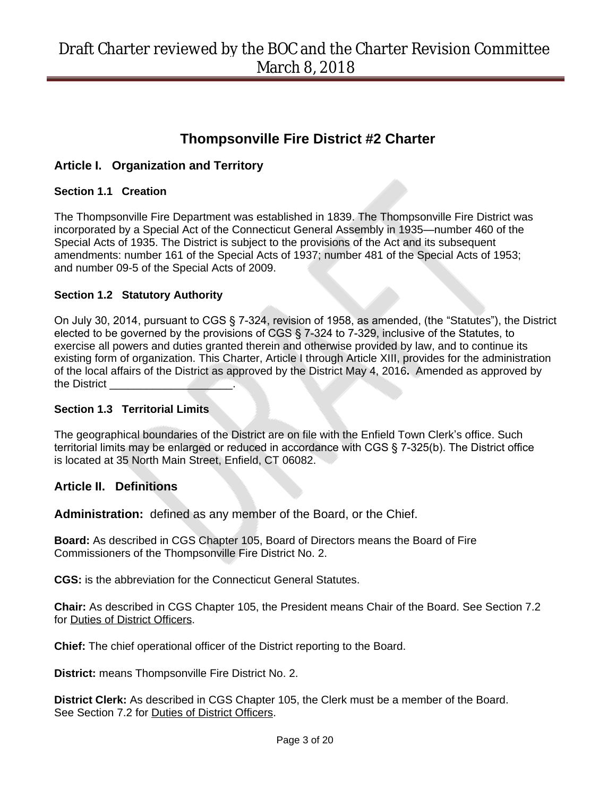# **Thompsonville Fire District #2 Charter**

### **Article I. Organization and Territory**

#### **Section 1.1 Creation**

The Thompsonville Fire Department was established in 1839. The Thompsonville Fire District was incorporated by a Special Act of the Connecticut General Assembly in 1935—number 460 of the Special Acts of 1935. The District is subject to the provisions of the Act and its subsequent amendments: number 161 of the Special Acts of 1937; number 481 of the Special Acts of 1953; and number 09-5 of the Special Acts of 2009.

#### **Section 1.2 Statutory Authority**

On July 30, 2014, pursuant to CGS § 7-324, revision of 1958, as amended, (the "Statutes"), the District elected to be governed by the provisions of CGS § 7-324 to 7-329, inclusive of the Statutes, to exercise all powers and duties granted therein and otherwise provided by law, and to continue its existing form of organization. This Charter, Article I through Article XIII, provides for the administration of the local affairs of the District as approved by the District May 4, 2016**.** Amended as approved by the District

#### **Section 1.3 Territorial Limits**

The geographical boundaries of the District are on file with the Enfield Town Clerk's office. Such territorial limits may be enlarged or reduced in accordance with CGS § 7-325(b). The District office is located at 35 North Main Street, Enfield, CT 06082.

### **Article II. Definitions**

**Administration:** defined as any member of the Board, or the Chief.

**Board:** As described in CGS Chapter 105, Board of Directors means the Board of Fire Commissioners of the Thompsonville Fire District No. 2.

**CGS:** is the abbreviation for the Connecticut General Statutes.

**Chair:** As described in CGS Chapter 105, the President means Chair of the Board. See Section 7.2 for Duties of District Officers.

**Chief:** The chief operational officer of the District reporting to the Board.

**District:** means Thompsonville Fire District No. 2.

**District Clerk:** As described in CGS Chapter 105, the Clerk must be a member of the Board. See Section 7.2 for Duties of District Officers.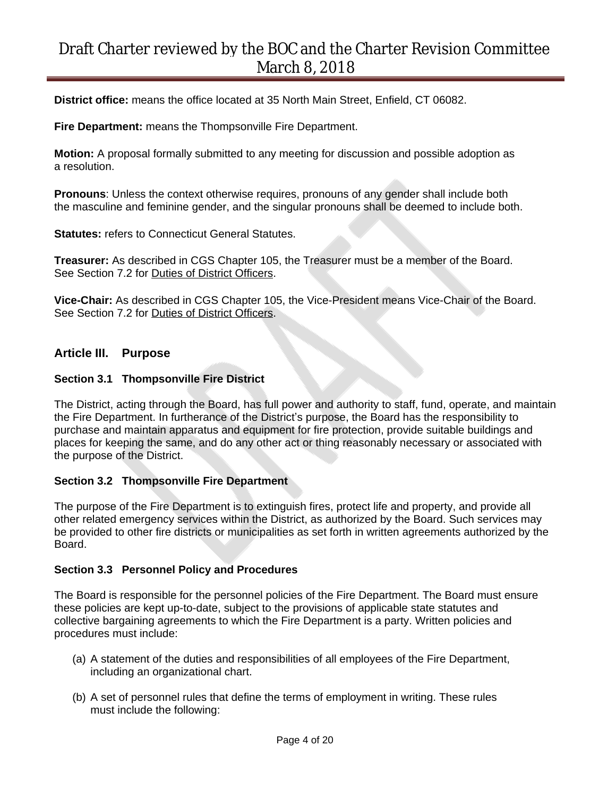**District office:** means the office located at 35 North Main Street, Enfield, CT 06082.

**Fire Department:** means the Thompsonville Fire Department.

**Motion:** A proposal formally submitted to any meeting for discussion and possible adoption as a resolution.

**Pronouns**: Unless the context otherwise requires, pronouns of any gender shall include both the masculine and feminine gender, and the singular pronouns shall be deemed to include both.

**Statutes: refers to Connecticut General Statutes.** 

**Treasurer:** As described in CGS Chapter 105, the Treasurer must be a member of the Board. See Section 7.2 for Duties of District Officers.

**Vice-Chair:** As described in CGS Chapter 105, the Vice-President means Vice-Chair of the Board. See Section 7.2 for Duties of District Officers.

#### **Article III. Purpose**

#### **Section 3.1 Thompsonville Fire District**

The District, acting through the Board, has full power and authority to staff, fund, operate, and maintain the Fire Department. In furtherance of the District's purpose, the Board has the responsibility to purchase and maintain apparatus and equipment for fire protection, provide suitable buildings and places for keeping the same, and do any other act or thing reasonably necessary or associated with the purpose of the District.

#### **Section 3.2 Thompsonville Fire Department**

The purpose of the Fire Department is to extinguish fires, protect life and property, and provide all other related emergency services within the District, as authorized by the Board. Such services may be provided to other fire districts or municipalities as set forth in written agreements authorized by the Board.

#### **Section 3.3 Personnel Policy and Procedures**

The Board is responsible for the personnel policies of the Fire Department. The Board must ensure these policies are kept up-to-date, subject to the provisions of applicable state statutes and collective bargaining agreements to which the Fire Department is a party. Written policies and procedures must include:

- (a) A statement of the duties and responsibilities of all employees of the Fire Department, including an organizational chart.
- (b) A set of personnel rules that define the terms of employment in writing. These rules must include the following: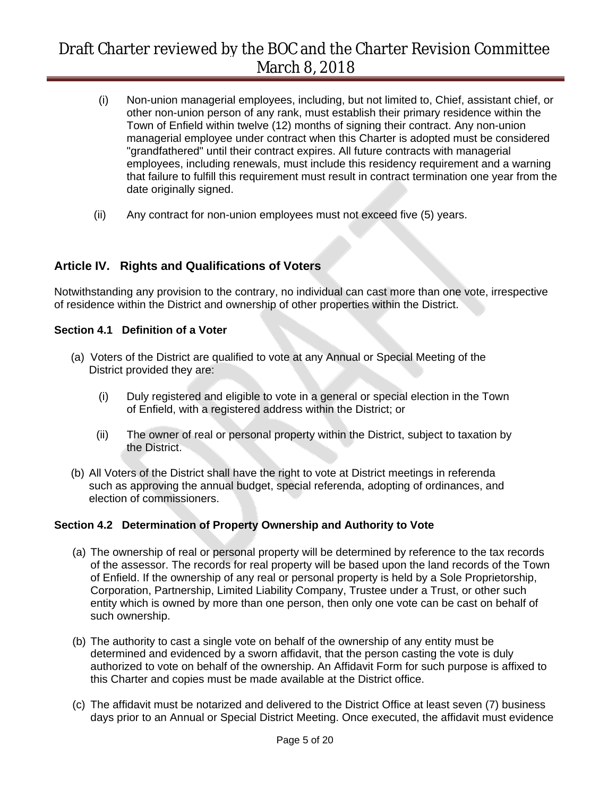- (i) Non-union managerial employees, including, but not limited to, Chief, assistant chief, or other non-union person of any rank, must establish their primary residence within the Town of Enfield within twelve (12) months of signing their contract. Any non-union managerial employee under contract when this Charter is adopted must be considered "grandfathered" until their contract expires. All future contracts with managerial employees, including renewals, must include this residency requirement and a warning that failure to fulfill this requirement must result in contract termination one year from the date originally signed.
- (ii) Any contract for non-union employees must not exceed five (5) years.

### **Article IV. Rights and Qualifications of Voters**

Notwithstanding any provision to the contrary, no individual can cast more than one vote, irrespective of residence within the District and ownership of other properties within the District.

#### **Section 4.1 Definition of a Voter**

- (a) Voters of the District are qualified to vote at any Annual or Special Meeting of the District provided they are:
	- (i) Duly registered and eligible to vote in a general or special election in the Town of Enfield, with a registered address within the District; or
	- (ii) The owner of real or personal property within the District, subject to taxation by the District.
- (b) All Voters of the District shall have the right to vote at District meetings in referenda such as approving the annual budget, special referenda, adopting of ordinances, and election of commissioners.

#### **Section 4.2 Determination of Property Ownership and Authority to Vote**

- (a) The ownership of real or personal property will be determined by reference to the tax records of the assessor. The records for real property will be based upon the land records of the Town of Enfield. If the ownership of any real or personal property is held by a Sole Proprietorship, Corporation, Partnership, Limited Liability Company, Trustee under a Trust, or other such entity which is owned by more than one person, then only one vote can be cast on behalf of such ownership.
- (b) The authority to cast a single vote on behalf of the ownership of any entity must be determined and evidenced by a sworn affidavit, that the person casting the vote is duly authorized to vote on behalf of the ownership. An Affidavit Form for such purpose is affixed to this Charter and copies must be made available at the District office.
- (c) The affidavit must be notarized and delivered to the District Office at least seven (7) business days prior to an Annual or Special District Meeting. Once executed, the affidavit must evidence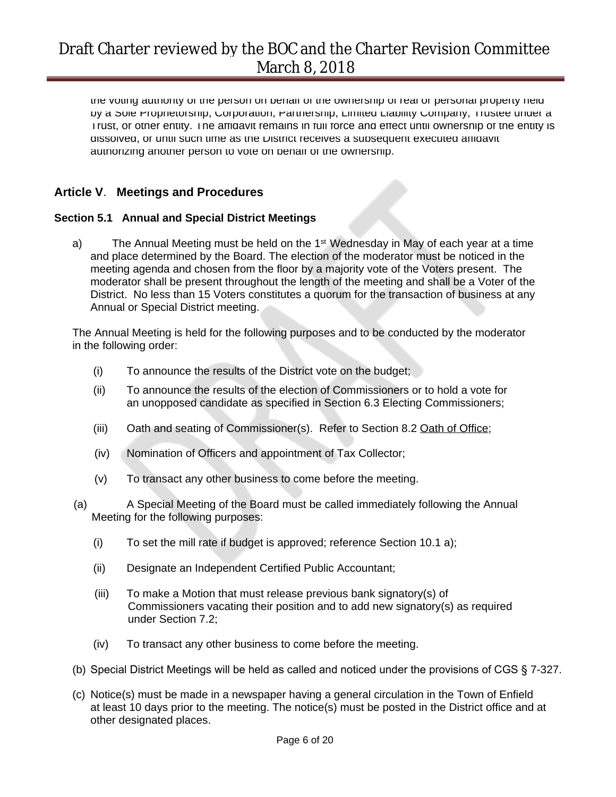the voting authority of the person on behalf of the ownership of real or personal property held by a Sole Proprietorship, Corporation, Partnership, Limited Liability Company, Trustee under a Trust, or other entity. The affidavit remains in full force and effect until ownership of the entity is dissolved, or until such time as the District receives a subsequent executed affidavit authorizing another person to vote on behalf of the ownership.

### **Article V**. **Meetings and Procedures**

#### **Section 5.1 Annual and Special District Meetings**

a) The Annual Meeting must be held on the 1<sup>st</sup> Wednesday in May of each year at a time and place determined by the Board. The election of the moderator must be noticed in the meeting agenda and chosen from the floor by a majority vote of the Voters present. The moderator shall be present throughout the length of the meeting and shall be a Voter of the District. No less than 15 Voters constitutes a quorum for the transaction of business at any Annual or Special District meeting.

The Annual Meeting is held for the following purposes and to be conducted by the moderator in the following order:

- (i) To announce the results of the District vote on the budget;
- (ii) To announce the results of the election of Commissioners or to hold a vote for an unopposed candidate as specified in Section 6.3 Electing Commissioners;
- (iii) Oath and seating of Commissioner(s). Refer to Section 8.2 Oath of Office;
- (iv) Nomination of Officers and appointment of Tax Collector;
- (v) To transact any other business to come before the meeting.
- (a) A Special Meeting of the Board must be called immediately following the Annual Meeting for the following purposes:
	- (i) To set the mill rate if budget is approved; reference Section 10.1 a);
	- (ii) Designate an Independent Certified Public Accountant;
	- (iii) To make a Motion that must release previous bank signatory(s) of Commissioners vacating their position and to add new signatory(s) as required under Section 7.2;
	- (iv) To transact any other business to come before the meeting.
- (b) Special District Meetings will be held as called and noticed under the provisions of CGS § 7-327.
- (c) Notice(s) must be made in a newspaper having a general circulation in the Town of Enfield at least 10 days prior to the meeting. The notice(s) must be posted in the District office and at other designated places.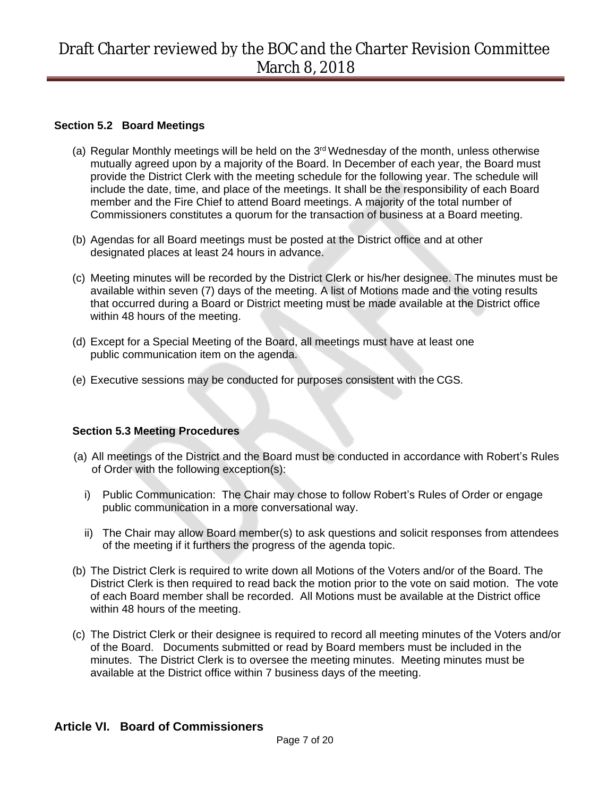#### **Section 5.2 Board Meetings**

- (a) Regular Monthly meetings will be held on the  $3<sup>rd</sup>$  Wednesday of the month, unless otherwise mutually agreed upon by a majority of the Board. In December of each year, the Board must provide the District Clerk with the meeting schedule for the following year. The schedule will include the date, time, and place of the meetings. It shall be the responsibility of each Board member and the Fire Chief to attend Board meetings. A majority of the total number of Commissioners constitutes a quorum for the transaction of business at a Board meeting.
- (b) Agendas for all Board meetings must be posted at the District office and at other designated places at least 24 hours in advance.
- (c) Meeting minutes will be recorded by the District Clerk or his/her designee. The minutes must be available within seven (7) days of the meeting. A list of Motions made and the voting results that occurred during a Board or District meeting must be made available at the District office within 48 hours of the meeting.
- (d) Except for a Special Meeting of the Board, all meetings must have at least one public communication item on the agenda.
- (e) Executive sessions may be conducted for purposes consistent with the CGS.

#### **Section 5.3 Meeting Procedures**

- (a) All meetings of the District and the Board must be conducted in accordance with Robert's Rules of Order with the following exception(s):
	- i) Public Communication: The Chair may chose to follow Robert's Rules of Order or engage public communication in a more conversational way.
	- ii) The Chair may allow Board member(s) to ask questions and solicit responses from attendees of the meeting if it furthers the progress of the agenda topic.
- (b) The District Clerk is required to write down all Motions of the Voters and/or of the Board. The District Clerk is then required to read back the motion prior to the vote on said motion. The vote of each Board member shall be recorded. All Motions must be available at the District office within 48 hours of the meeting.
- (c) The District Clerk or their designee is required to record all meeting minutes of the Voters and/or of the Board. Documents submitted or read by Board members must be included in the minutes. The District Clerk is to oversee the meeting minutes.Meeting minutes must be available at the District office within 7 business days of the meeting.

### **Article VI. Board of Commissioners**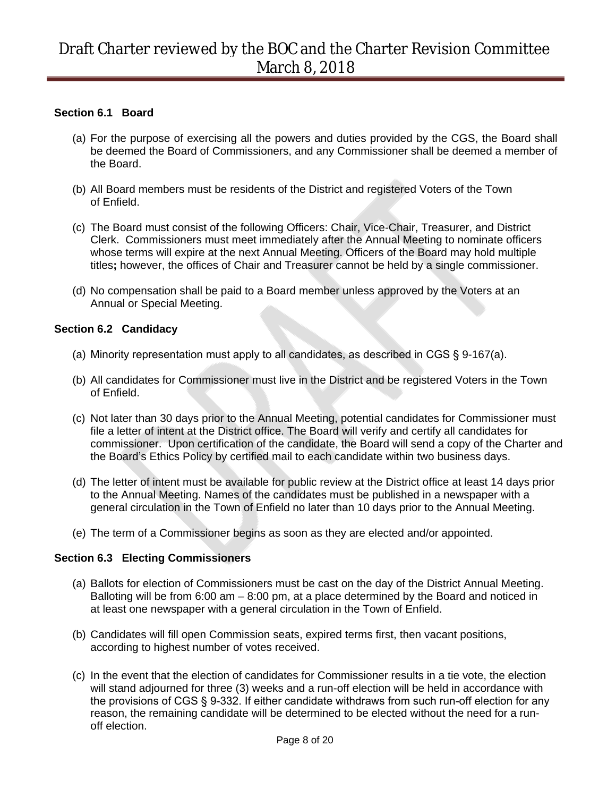#### **Section 6.1 Board**

- (a) For the purpose of exercising all the powers and duties provided by the CGS, the Board shall be deemed the Board of Commissioners, and any Commissioner shall be deemed a member of the Board.
- (b) All Board members must be residents of the District and registered Voters of the Town of Enfield.
- (c) The Board must consist of the following Officers: Chair, Vice-Chair, Treasurer, and District Clerk. Commissioners must meet immediately after the Annual Meeting to nominate officers whose terms will expire at the next Annual Meeting. Officers of the Board may hold multiple titles**;** however, the offices of Chair and Treasurer cannot be held by a single commissioner.
- (d) No compensation shall be paid to a Board member unless approved by the Voters at an Annual or Special Meeting.

#### **Section 6.2 Candidacy**

- (a) Minority representation must apply to all candidates, as described in CGS § 9-167(a).
- (b) All candidates for Commissioner must live in the District and be registered Voters in the Town of Enfield.
- (c) Not later than 30 days prior to the Annual Meeting, potential candidates for Commissioner must file a letter of intent at the District office. The Board will verify and certify all candidates for commissioner. Upon certification of the candidate, the Board will send a copy of the Charter and the Board's Ethics Policy by certified mail to each candidate within two business days.
- (d) The letter of intent must be available for public review at the District office at least 14 days prior to the Annual Meeting. Names of the candidates must be published in a newspaper with a general circulation in the Town of Enfield no later than 10 days prior to the Annual Meeting.
- (e) The term of a Commissioner begins as soon as they are elected and/or appointed.

#### **Section 6.3 Electing Commissioners**

- (a) Ballots for election of Commissioners must be cast on the day of the District Annual Meeting. Balloting will be from 6:00 am – 8:00 pm, at a place determined by the Board and noticed in at least one newspaper with a general circulation in the Town of Enfield.
- (b) Candidates will fill open Commission seats, expired terms first, then vacant positions, according to highest number of votes received.
- (c) In the event that the election of candidates for Commissioner results in a tie vote, the election will stand adjourned for three (3) weeks and a run-off election will be held in accordance with the provisions of CGS § 9-332. If either candidate withdraws from such run-off election for any reason, the remaining candidate will be determined to be elected without the need for a runoff election.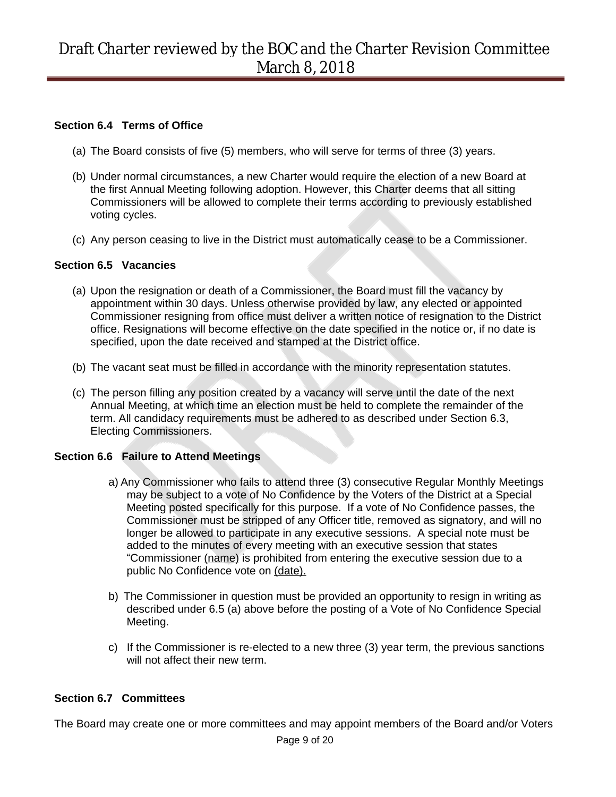#### **Section 6.4 Terms of Office**

- (a) The Board consists of five (5) members, who will serve for terms of three (3) years.
- (b) Under normal circumstances, a new Charter would require the election of a new Board at the first Annual Meeting following adoption. However, this Charter deems that all sitting Commissioners will be allowed to complete their terms according to previously established voting cycles.
- (c) Any person ceasing to live in the District must automatically cease to be a Commissioner.

#### **Section 6.5 Vacancies**

- (a) Upon the resignation or death of a Commissioner, the Board must fill the vacancy by appointment within 30 days. Unless otherwise provided by law, any elected or appointed Commissioner resigning from office must deliver a written notice of resignation to the District office. Resignations will become effective on the date specified in the notice or, if no date is specified, upon the date received and stamped at the District office.
- (b) The vacant seat must be filled in accordance with the minority representation statutes.
- (c) The person filling any position created by a vacancy will serve until the date of the next Annual Meeting, at which time an election must be held to complete the remainder of the term. All candidacy requirements must be adhered to as described under Section 6.3, Electing Commissioners.

#### **Section 6.6 Failure to Attend Meetings**

- a) Any Commissioner who fails to attend three (3) consecutive Regular Monthly Meetings may be subject to a vote of No Confidence by the Voters of the District at a Special Meeting posted specifically for this purpose. If a vote of No Confidence passes, the Commissioner must be stripped of any Officer title, removed as signatory, and will no longer be allowed to participate in any executive sessions. A special note must be added to the minutes of every meeting with an executive session that states "Commissioner (name) is prohibited from entering the executive session due to a public No Confidence vote on (date).
- b) The Commissioner in question must be provided an opportunity to resign in writing as described under 6.5 (a) above before the posting of a Vote of No Confidence Special Meeting.
- c) If the Commissioner is re-elected to a new three (3) year term, the previous sanctions will not affect their new term.

#### **Section 6.7 Committees**

The Board may create one or more committees and may appoint members of the Board and/or Voters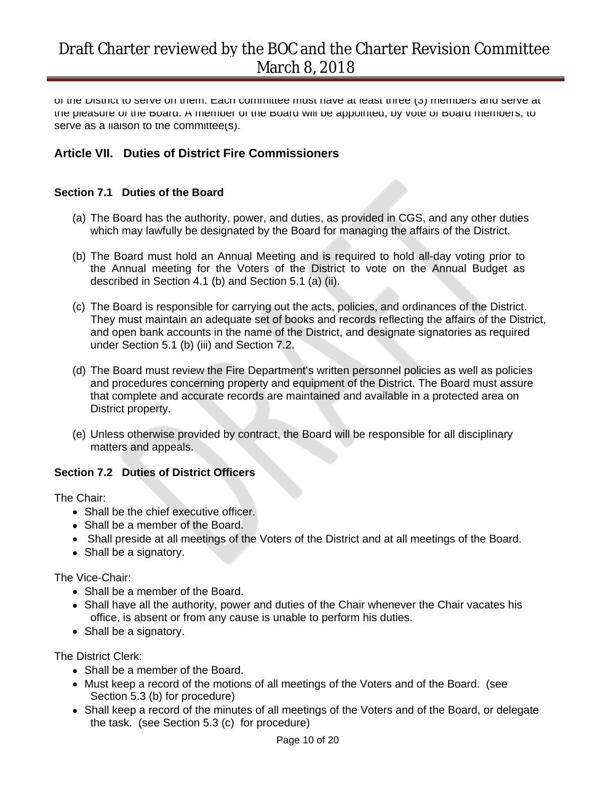of the District to serve on them. Each committee must have at least three (3) members and serve at the pleasure of the Board. A member of the Board will be appointed, by vote of Board members, to serve as a liaison to the committee(s).

## **Article VII. Duties of District Fire Commissioners**

#### **Section 7.1 Duties of the Board**

- (a) The Board has the authority, power, and duties, as provided in CGS, and any other duties which may lawfully be designated by the Board for managing the affairs of the District.
- (b) The Board must hold an Annual Meeting and is required to hold all-day voting prior to the Annual meeting for the Voters of the District to vote on the Annual Budget as described in Section 4.1 (b) and Section 5.1 (a) (ii).
- (c) The Board is responsible for carrying out the acts, policies, and ordinances of the District. They must maintain an adequate set of books and records reflecting the affairs of the District, and open bank accounts in the name of the District, and designate signatories as required under Section 5.1 (b) (iii) and Section 7.2.
- (d) The Board must review the Fire Department's written personnel policies as well as policies and procedures concerning property and equipment of the District. The Board must assure that complete and accurate records are maintained and available in a protected area on District property.
- (e) Unless otherwise provided by contract, the Board will be responsible for all disciplinary matters and appeals.

#### **Section 7.2 Duties of District Officers**

The Chair:

- Shall be the chief executive officer.
- Shall be a member of the Board.
- Shall preside at all meetings of the Voters of the District and at all meetings of the Board.
- Shall be a signatory.

The Vice-Chair:

- Shall be a member of the Board.
- Shall have all the authority, power and duties of the Chair whenever the Chair vacates his office, is absent or from any cause is unable to perform his duties.
- Shall be a signatory.

The District Clerk:

- Shall be a member of the Board.
- Must keep a record of the motions of all meetings of the Voters and of the Board. (see Section 5.3 (b) for procedure)
- Shall keep a record of the minutes of all meetings of the Voters and of the Board, or delegate the task. (see Section 5.3 (c) for procedure)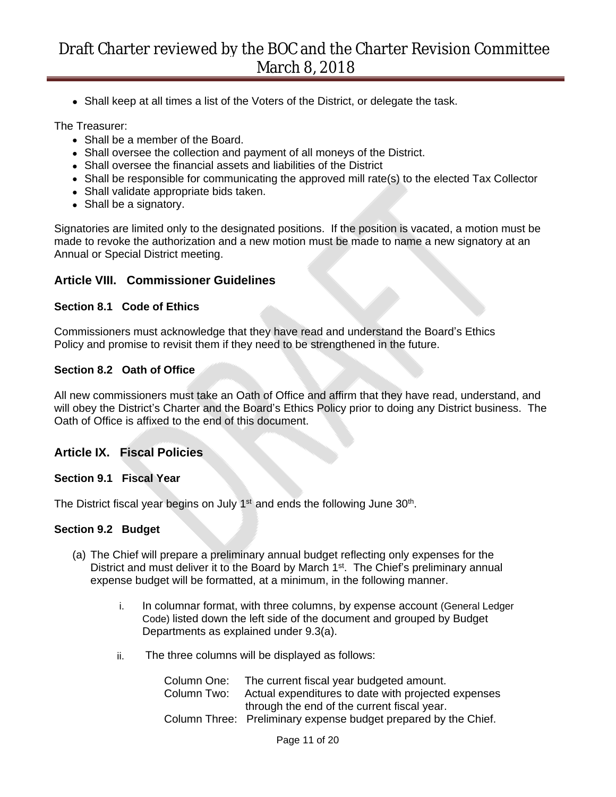• Shall keep at all times a list of the Voters of the District, or delegate the task.

The Treasurer:

- Shall be a member of the Board.
- Shall oversee the collection and payment of all moneys of the District.
- Shall oversee the financial assets and liabilities of the District
- Shall be responsible for communicating the approved mill rate(s) to the elected Tax Collector
- Shall validate appropriate bids taken.
- Shall be a signatory.

Signatories are limited only to the designated positions. If the position is vacated, a motion must be made to revoke the authorization and a new motion must be made to name a new signatory at an Annual or Special District meeting.

#### **Article VIII. Commissioner Guidelines**

#### **Section 8.1 Code of Ethics**

Commissioners must acknowledge that they have read and understand the Board's Ethics Policy and promise to revisit them if they need to be strengthened in the future.

#### **Section 8.2 Oath of Office**

All new commissioners must take an Oath of Office and affirm that they have read, understand, and will obey the District's Charter and the Board's Ethics Policy prior to doing any District business. The Oath of Office is affixed to the end of this document.

#### **Article IX. Fiscal Policies**

#### **Section 9.1 Fiscal Year**

The District fiscal year begins on July 1<sup>st</sup> and ends the following June  $30<sup>th</sup>$ .

#### **Section 9.2 Budget**

- (a) The Chief will prepare a preliminary annual budget reflecting only expenses for the District and must deliver it to the Board by March  $1<sup>st</sup>$ . The Chief's preliminary annual expense budget will be formatted, at a minimum, in the following manner.
	- i. In columnar format, with three columns, by expense account (General Ledger Code) listed down the left side of the document and grouped by Budget Departments as explained under 9.3(a).
	- ii. The three columns will be displayed as follows:

| Column One: | The current fiscal year budgeted amount.                        |
|-------------|-----------------------------------------------------------------|
| Column Two: | Actual expenditures to date with projected expenses             |
|             | through the end of the current fiscal year.                     |
|             | Column Three: Preliminary expense budget prepared by the Chief. |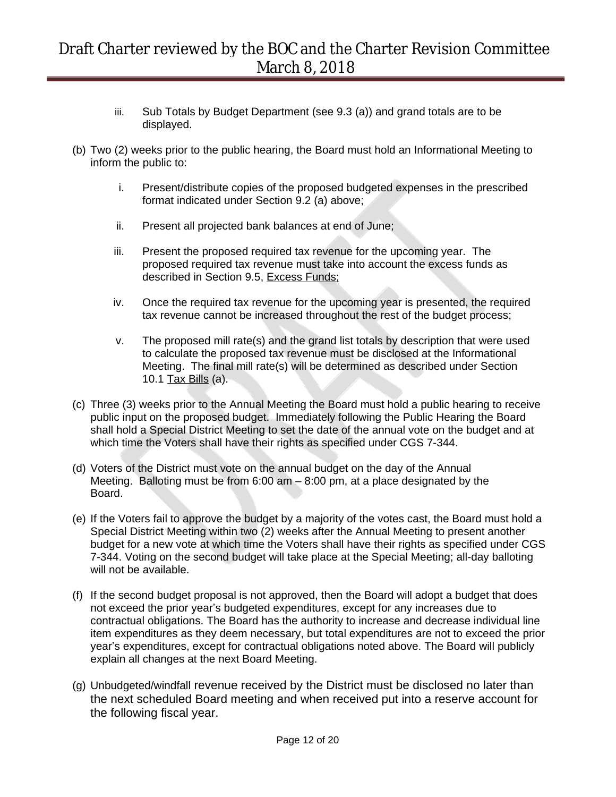- iii. Sub Totals by Budget Department (see 9.3 (a)) and grand totals are to be displayed.
- (b) Two (2) weeks prior to the public hearing, the Board must hold an Informational Meeting to inform the public to:
	- i. Present/distribute copies of the proposed budgeted expenses in the prescribed format indicated under Section 9.2 (a) above;
	- ii. Present all projected bank balances at end of June;
	- iii. Present the proposed required tax revenue for the upcoming year. The proposed required tax revenue must take into account the excess funds as described in Section 9.5, Excess Funds;
	- iv. Once the required tax revenue for the upcoming year is presented, the required tax revenue cannot be increased throughout the rest of the budget process;
	- v. The proposed mill rate(s) and the grand list totals by description that were used to calculate the proposed tax revenue must be disclosed at the Informational Meeting. The final mill rate(s) will be determined as described under Section 10.1 Tax Bills (a).
- (c) Three (3) weeks prior to the Annual Meeting the Board must hold a public hearing to receive public input on the proposed budget. Immediately following the Public Hearing the Board shall hold a Special District Meeting to set the date of the annual vote on the budget and at which time the Voters shall have their rights as specified under CGS 7-344.
- (d) Voters of the District must vote on the annual budget on the day of the Annual Meeting. Balloting must be from 6:00 am – 8:00 pm, at a place designated by the Board.
- (e) If the Voters fail to approve the budget by a majority of the votes cast, the Board must hold a Special District Meeting within two (2) weeks after the Annual Meeting to present another budget for a new vote at which time the Voters shall have their rights as specified under CGS 7-344. Voting on the second budget will take place at the Special Meeting; all-day balloting will not be available.
- (f) If the second budget proposal is not approved, then the Board will adopt a budget that does not exceed the prior year's budgeted expenditures, except for any increases due to contractual obligations. The Board has the authority to increase and decrease individual line item expenditures as they deem necessary, but total expenditures are not to exceed the prior year's expenditures, except for contractual obligations noted above. The Board will publicly explain all changes at the next Board Meeting.
- (g) Unbudgeted/windfall revenue received by the District must be disclosed no later than the next scheduled Board meeting and when received put into a reserve account for the following fiscal year.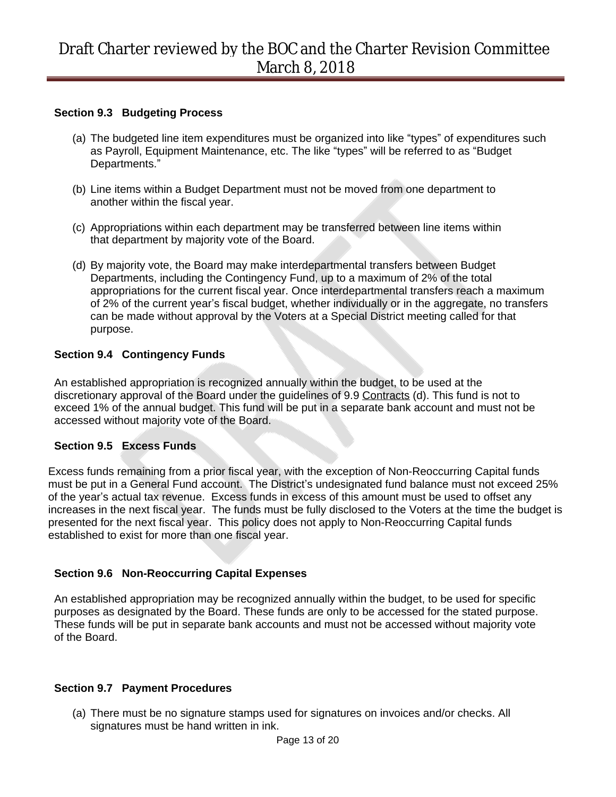#### **Section 9.3 Budgeting Process**

- (a) The budgeted line item expenditures must be organized into like "types" of expenditures such as Payroll, Equipment Maintenance, etc. The like "types" will be referred to as "Budget Departments."
- (b) Line items within a Budget Department must not be moved from one department to another within the fiscal year.
- (c) Appropriations within each department may be transferred between line items within that department by majority vote of the Board.
- (d) By majority vote, the Board may make interdepartmental transfers between Budget Departments, including the Contingency Fund, up to a maximum of 2% of the total appropriations for the current fiscal year. Once interdepartmental transfers reach a maximum of 2% of the current year's fiscal budget, whether individually or in the aggregate, no transfers can be made without approval by the Voters at a Special District meeting called for that purpose.

#### **Section 9.4 Contingency Funds**

An established appropriation is recognized annually within the budget, to be used at the discretionary approval of the Board under the guidelines of 9.9 Contracts (d). This fund is not to exceed 1% of the annual budget. This fund will be put in a separate bank account and must not be accessed without majority vote of the Board.

#### **Section 9.5 Excess Funds**

Excess funds remaining from a prior fiscal year, with the exception of Non-Reoccurring Capital funds must be put in a General Fund account. The District's undesignated fund balance must not exceed 25% of the year's actual tax revenue. Excess funds in excess of this amount must be used to offset any increases in the next fiscal year. The funds must be fully disclosed to the Voters at the time the budget is presented for the next fiscal year. This policy does not apply to Non-Reoccurring Capital funds established to exist for more than one fiscal year.

#### **Section 9.6 Non-Reoccurring Capital Expenses**

An established appropriation may be recognized annually within the budget, to be used for specific purposes as designated by the Board. These funds are only to be accessed for the stated purpose. These funds will be put in separate bank accounts and must not be accessed without majority vote of the Board.

### **Section 9.7 Payment Procedures**

(a) There must be no signature stamps used for signatures on invoices and/or checks. All signatures must be hand written in ink.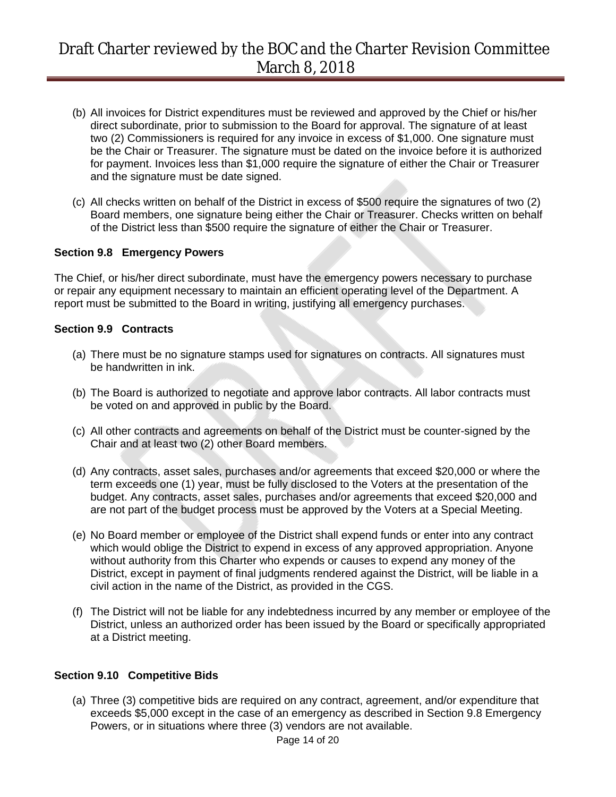- (b) All invoices for District expenditures must be reviewed and approved by the Chief or his/her direct subordinate, prior to submission to the Board for approval. The signature of at least two (2) Commissioners is required for any invoice in excess of \$1,000. One signature must be the Chair or Treasurer. The signature must be dated on the invoice before it is authorized for payment. Invoices less than \$1,000 require the signature of either the Chair or Treasurer and the signature must be date signed.
- (c) All checks written on behalf of the District in excess of \$500 require the signatures of two (2) Board members, one signature being either the Chair or Treasurer. Checks written on behalf of the District less than \$500 require the signature of either the Chair or Treasurer.

#### **Section 9.8 Emergency Powers**

The Chief, or his/her direct subordinate, must have the emergency powers necessary to purchase or repair any equipment necessary to maintain an efficient operating level of the Department. A report must be submitted to the Board in writing, justifying all emergency purchases.

#### **Section 9.9 Contracts**

- (a) There must be no signature stamps used for signatures on contracts. All signatures must be handwritten in ink.
- (b) The Board is authorized to negotiate and approve labor contracts. All labor contracts must be voted on and approved in public by the Board.
- (c) All other contracts and agreements on behalf of the District must be counter-signed by the Chair and at least two (2) other Board members.
- (d) Any contracts, asset sales, purchases and/or agreements that exceed \$20,000 or where the term exceeds one (1) year, must be fully disclosed to the Voters at the presentation of the budget. Any contracts, asset sales, purchases and/or agreements that exceed \$20,000 and are not part of the budget process must be approved by the Voters at a Special Meeting.
- (e) No Board member or employee of the District shall expend funds or enter into any contract which would oblige the District to expend in excess of any approved appropriation. Anyone without authority from this Charter who expends or causes to expend any money of the District, except in payment of final judgments rendered against the District, will be liable in a civil action in the name of the District, as provided in the CGS.
- (f) The District will not be liable for any indebtedness incurred by any member or employee of the District, unless an authorized order has been issued by the Board or specifically appropriated at a District meeting.

#### **Section 9.10 Competitive Bids**

(a) Three (3) competitive bids are required on any contract, agreement, and/or expenditure that exceeds \$5,000 except in the case of an emergency as described in Section 9.8 Emergency Powers, or in situations where three (3) vendors are not available.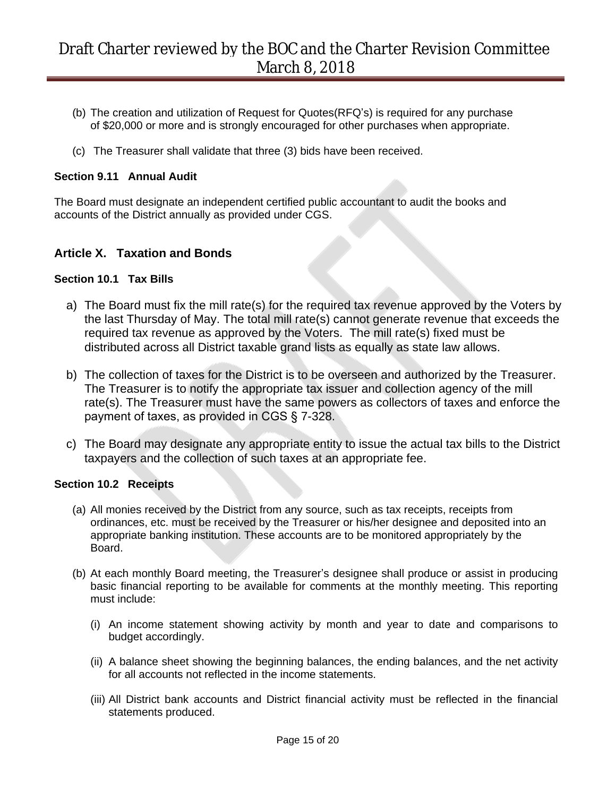- (b) The creation and utilization of Request for Quotes(RFQ's) is required for any purchase of \$20,000 or more and is strongly encouraged for other purchases when appropriate.
- (c) The Treasurer shall validate that three (3) bids have been received.

#### **Section 9.11 Annual Audit**

The Board must designate an independent certified public accountant to audit the books and accounts of the District annually as provided under CGS.

### **Article X. Taxation and Bonds**

#### **Section 10.1 Tax Bills**

- a) The Board must fix the mill rate(s) for the required tax revenue approved by the Voters by the last Thursday of May. The total mill rate(s) cannot generate revenue that exceeds the required tax revenue as approved by the Voters. The mill rate(s) fixed must be distributed across all District taxable grand lists as equally as state law allows.
- b) The collection of taxes for the District is to be overseen and authorized by the Treasurer. The Treasurer is to notify the appropriate tax issuer and collection agency of the mill rate(s). The Treasurer must have the same powers as collectors of taxes and enforce the payment of taxes, as provided in CGS § 7-328.
- c) The Board may designate any appropriate entity to issue the actual tax bills to the District taxpayers and the collection of such taxes at an appropriate fee.

#### **Section 10.2 Receipts**

- (a) All monies received by the District from any source, such as tax receipts, receipts from ordinances, etc. must be received by the Treasurer or his/her designee and deposited into an appropriate banking institution. These accounts are to be monitored appropriately by the Board.
- (b) At each monthly Board meeting, the Treasurer's designee shall produce or assist in producing basic financial reporting to be available for comments at the monthly meeting. This reporting must include:
	- (i) An income statement showing activity by month and year to date and comparisons to budget accordingly.
	- (ii) A balance sheet showing the beginning balances, the ending balances, and the net activity for all accounts not reflected in the income statements.
	- (iii) All District bank accounts and District financial activity must be reflected in the financial statements produced.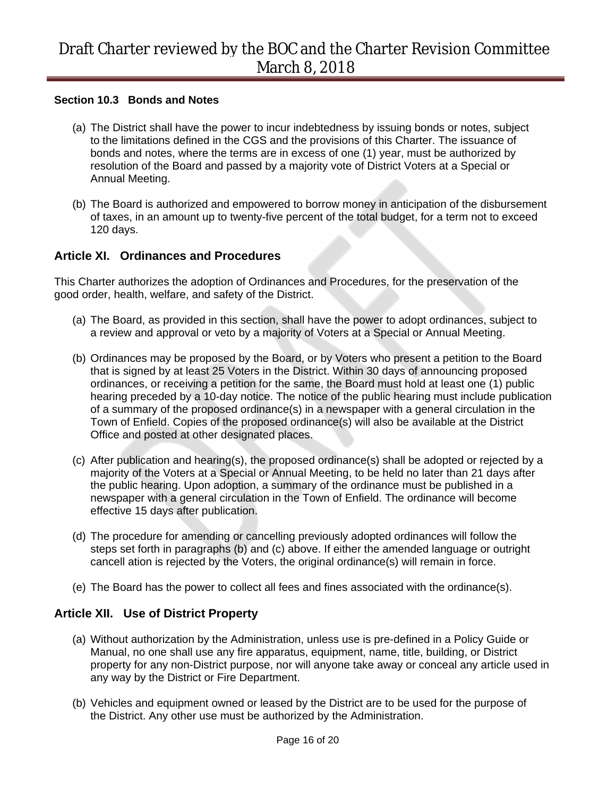#### **Section 10.3 Bonds and Notes**

- (a) The District shall have the power to incur indebtedness by issuing bonds or notes, subject to the limitations defined in the CGS and the provisions of this Charter. The issuance of bonds and notes, where the terms are in excess of one (1) year, must be authorized by resolution of the Board and passed by a majority vote of District Voters at a Special or Annual Meeting.
- (b) The Board is authorized and empowered to borrow money in anticipation of the disbursement of taxes, in an amount up to twenty-five percent of the total budget, for a term not to exceed 120 days.

#### **Article XI. Ordinances and Procedures**

This Charter authorizes the adoption of Ordinances and Procedures, for the preservation of the good order, health, welfare, and safety of the District.

- (a) The Board, as provided in this section, shall have the power to adopt ordinances, subject to a review and approval or veto by a majority of Voters at a Special or Annual Meeting.
- (b) Ordinances may be proposed by the Board, or by Voters who present a petition to the Board that is signed by at least 25 Voters in the District. Within 30 days of announcing proposed ordinances, or receiving a petition for the same, the Board must hold at least one (1) public hearing preceded by a 10-day notice. The notice of the public hearing must include publication of a summary of the proposed ordinance(s) in a newspaper with a general circulation in the Town of Enfield. Copies of the proposed ordinance(s) will also be available at the District Office and posted at other designated places.
- (c) After publication and hearing(s), the proposed ordinance(s) shall be adopted or rejected by a majority of the Voters at a Special or Annual Meeting, to be held no later than 21 days after the public hearing. Upon adoption, a summary of the ordinance must be published in a newspaper with a general circulation in the Town of Enfield. The ordinance will become effective 15 days after publication.
- (d) The procedure for amending or cancelling previously adopted ordinances will follow the steps set forth in paragraphs (b) and (c) above. If either the amended language or outright cancell ation is rejected by the Voters, the original ordinance(s) will remain in force.
- (e) The Board has the power to collect all fees and fines associated with the ordinance(s).

### **Article XII. Use of District Property**

- (a) Without authorization by the Administration, unless use is pre-defined in a Policy Guide or Manual, no one shall use any fire apparatus, equipment, name, title, building, or District property for any non-District purpose, nor will anyone take away or conceal any article used in any way by the District or Fire Department.
- (b) Vehicles and equipment owned or leased by the District are to be used for the purpose of the District. Any other use must be authorized by the Administration.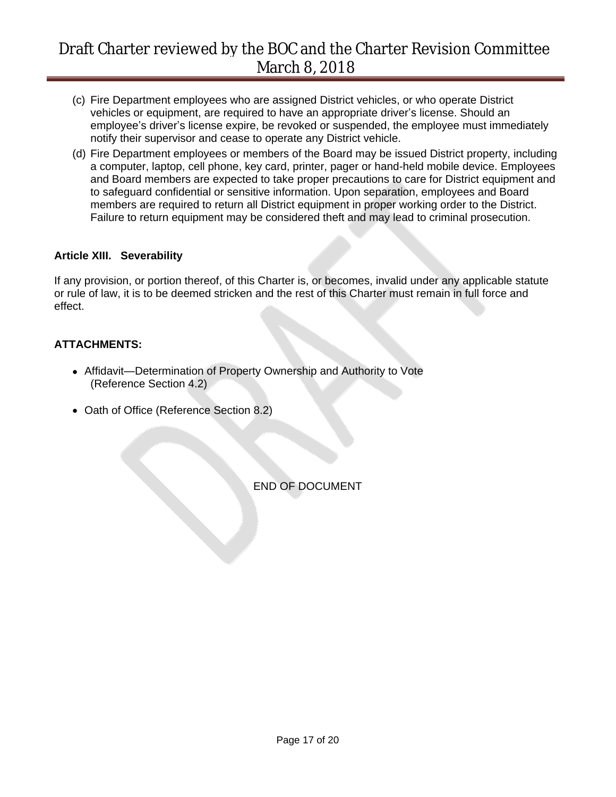- (c) Fire Department employees who are assigned District vehicles, or who operate District vehicles or equipment, are required to have an appropriate driver's license. Should an employee's driver's license expire, be revoked or suspended, the employee must immediately notify their supervisor and cease to operate any District vehicle.
- (d) Fire Department employees or members of the Board may be issued District property, including a computer, laptop, cell phone, key card, printer, pager or hand-held mobile device. Employees and Board members are expected to take proper precautions to care for District equipment and to safeguard confidential or sensitive information. Upon separation, employees and Board members are required to return all District equipment in proper working order to the District. Failure to return equipment may be considered theft and may lead to criminal prosecution.

#### **Article XIII. Severability**

If any provision, or portion thereof, of this Charter is, or becomes, invalid under any applicable statute or rule of law, it is to be deemed stricken and the rest of this Charter must remain in full force and effect.

### **ATTACHMENTS:**

- Affidavit—Determination of Property Ownership and Authority to Vote (Reference Section 4.2)
- Oath of Office (Reference Section 8.2)

END OF DOCUMENT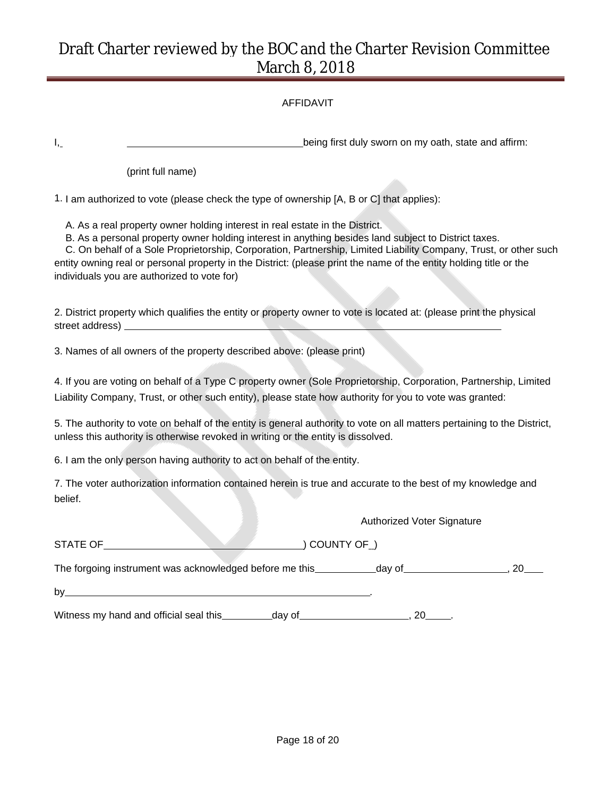#### AFFIDAVIT

I<sub>1</sub> being first duly sworn on my oath, state and affirm:

(print full name)

1. I am authorized to vote (please check the type of ownership [A, B or C] that applies):

A. As a real property owner holding interest in real estate in the District.

B. As a personal property owner holding interest in anything besides land subject to District taxes.

C. On behalf of a Sole Proprietorship, Corporation, Partnership, Limited Liability Company, Trust, or other such entity owning real or personal property in the District: (please print the name of the entity holding title or the individuals you are authorized to vote for)

2. District property which qualifies the entity or property owner to vote is located at: (please print the physical street address)

3. Names of all owners of the property described above: (please print)

4. If you are voting on behalf of a Type C property owner (Sole Proprietorship, Corporation, Partnership, Limited Liability Company, Trust, or other such entity), please state how authority for you to vote was granted:

5. The authority to vote on behalf of the entity is general authority to vote on all matters pertaining to the District, unless this authority is otherwise revoked in writing or the entity is dissolved.

6. I am the only person having authority to act on behalf of the entity.

7. The voter authorization information contained herein is true and accurate to the best of my knowledge and belief.

| ー<br>А |  |
|--------|--|

(COUNTY OF )

Authorized Voter Signature

The forgoing instrument was acknowledged before me this day of , 20

by\_\_\_\_\_\_\_\_\_\_\_

Witness my hand and official seal this  $\frac{1}{2}$  day of  $\frac{1}{2}$ , 20 ...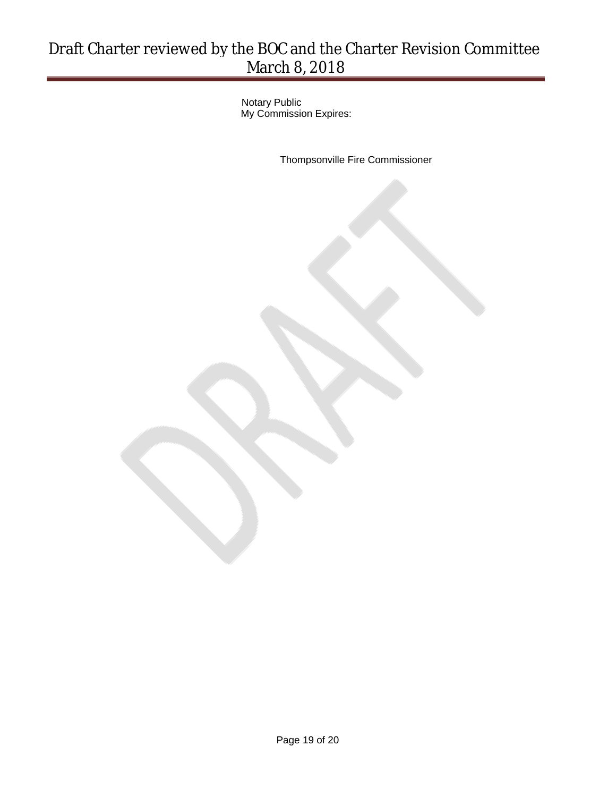Notary Public My Commission Expires:

Thompsonville Fire Commissioner